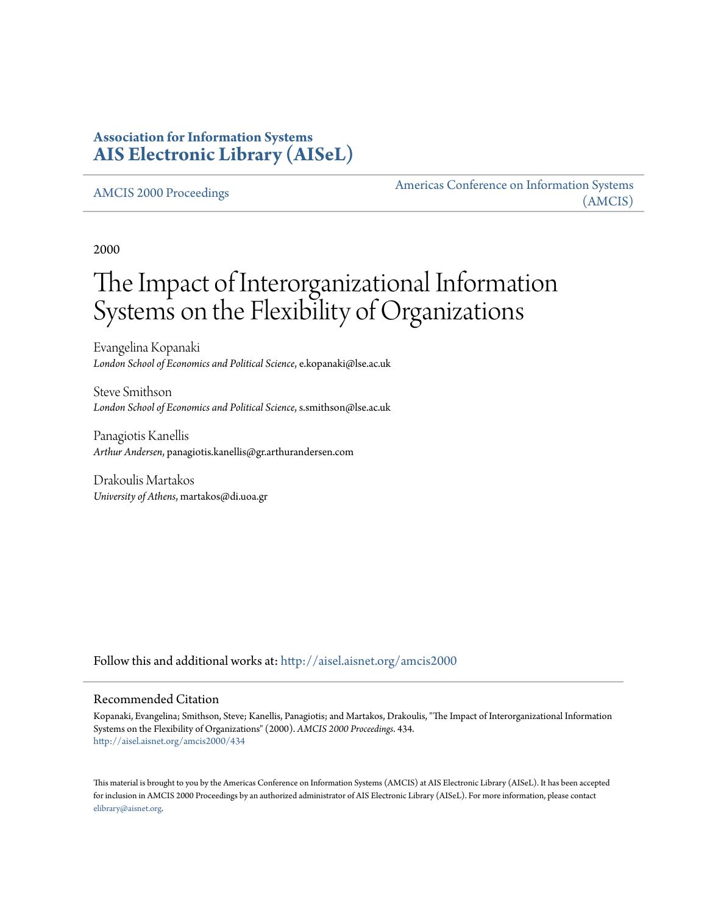## **Association for Information Systems [AIS Electronic Library \(AISeL\)](http://aisel.aisnet.org?utm_source=aisel.aisnet.org%2Famcis2000%2F434&utm_medium=PDF&utm_campaign=PDFCoverPages)**

#### [AMCIS 2000 Proceedings](http://aisel.aisnet.org/amcis2000?utm_source=aisel.aisnet.org%2Famcis2000%2F434&utm_medium=PDF&utm_campaign=PDFCoverPages)

[Americas Conference on Information Systems](http://aisel.aisnet.org/amcis?utm_source=aisel.aisnet.org%2Famcis2000%2F434&utm_medium=PDF&utm_campaign=PDFCoverPages) [\(AMCIS\)](http://aisel.aisnet.org/amcis?utm_source=aisel.aisnet.org%2Famcis2000%2F434&utm_medium=PDF&utm_campaign=PDFCoverPages)

2000

# The Impact of Interorganizational Information Systems on the Flexibility of Organizations

Evangelina Kopanaki *London School of Economics and Political Science*, e.kopanaki@lse.ac.uk

Steve Smithson *London School of Economics and Political Science*, s.smithson@lse.ac.uk

Panagiotis Kanellis *Arthur Andersen*, panagiotis.kanellis@gr.arthurandersen.com

Drakoulis Martakos *University of Athens*, martakos@di.uoa.gr

Follow this and additional works at: [http://aisel.aisnet.org/amcis2000](http://aisel.aisnet.org/amcis2000?utm_source=aisel.aisnet.org%2Famcis2000%2F434&utm_medium=PDF&utm_campaign=PDFCoverPages)

#### Recommended Citation

Kopanaki, Evangelina; Smithson, Steve; Kanellis, Panagiotis; and Martakos, Drakoulis, "The Impact of Interorganizational Information Systems on the Flexibility of Organizations" (2000). *AMCIS 2000 Proceedings*. 434. [http://aisel.aisnet.org/amcis2000/434](http://aisel.aisnet.org/amcis2000/434?utm_source=aisel.aisnet.org%2Famcis2000%2F434&utm_medium=PDF&utm_campaign=PDFCoverPages)

This material is brought to you by the Americas Conference on Information Systems (AMCIS) at AIS Electronic Library (AISeL). It has been accepted for inclusion in AMCIS 2000 Proceedings by an authorized administrator of AIS Electronic Library (AISeL). For more information, please contact [elibrary@aisnet.org.](mailto:elibrary@aisnet.org%3E)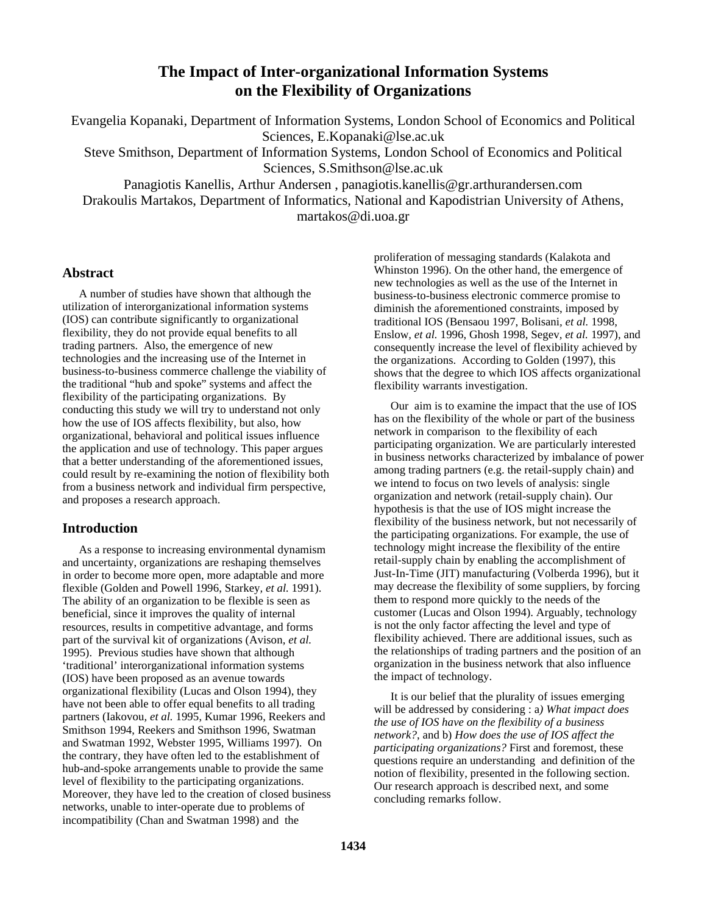## **The Impact of Inter-organizational Information Systems on the Flexibility of Organizations**

Evangelia Kopanaki, Department of Information Systems, London School of Economics and Political Sciences, E.Kopanaki@lse.ac.uk Steve Smithson, Department of Information Systems, London School of Economics and Political Sciences, S.Smithson@lse.ac.uk Panagiotis Kanellis, Arthur Andersen , panagiotis.kanellis@gr.arthurandersen.com

Drakoulis Martakos, Department of Informatics, National and Kapodistrian University of Athens, martakos@di.uoa.gr

#### **Abstract**

A number of studies have shown that although the utilization of interorganizational information systems (IOS) can contribute significantly to organizational flexibility, they do not provide equal benefits to all trading partners. Also, the emergence of new technologies and the increasing use of the Internet in business-to-business commerce challenge the viability of the traditional "hub and spoke" systems and affect the flexibility of the participating organizations. By conducting this study we will try to understand not only how the use of IOS affects flexibility, but also, how organizational, behavioral and political issues influence the application and use of technology. This paper argues that a better understanding of the aforementioned issues, could result by re-examining the notion of flexibility both from a business network and individual firm perspective, and proposes a research approach.

#### **Introduction**

As a response to increasing environmental dynamism and uncertainty, organizations are reshaping themselves in order to become more open, more adaptable and more flexible (Golden and Powell 1996, Starkey*, et al.* 1991). The ability of an organization to be flexible is seen as beneficial, since it improves the quality of internal resources, results in competitive advantage, and forms part of the survival kit of organizations (Avison*, et al.* 1995). Previous studies have shown that although 'traditional' interorganizational information systems (IOS) have been proposed as an avenue towards organizational flexibility (Lucas and Olson 1994), they have not been able to offer equal benefits to all trading partners (Iakovou*, et al.* 1995, Kumar 1996, Reekers and Smithson 1994, Reekers and Smithson 1996, Swatman and Swatman 1992, Webster 1995, Williams 1997). On the contrary, they have often led to the establishment of hub-and-spoke arrangements unable to provide the same level of flexibility to the participating organizations. Moreover, they have led to the creation of closed business networks, unable to inter-operate due to problems of incompatibility (Chan and Swatman 1998) and the

proliferation of messaging standards (Kalakota and Whinston 1996). On the other hand, the emergence of new technologies as well as the use of the Internet in business-to-business electronic commerce promise to diminish the aforementioned constraints, imposed by traditional IOS (Bensaou 1997, Bolisani*, et al.* 1998, Enslow*, et al.* 1996, Ghosh 1998, Segev*, et al.* 1997), and consequently increase the level of flexibility achieved by the organizations. According to Golden (1997), this shows that the degree to which IOS affects organizational flexibility warrants investigation.

Our aim is to examine the impact that the use of IOS has on the flexibility of the whole or part of the business network in comparison to the flexibility of each participating organization. We are particularly interested in business networks characterized by imbalance of power among trading partners (e.g. the retail-supply chain) and we intend to focus on two levels of analysis: single organization and network (retail-supply chain). Our hypothesis is that the use of IOS might increase the flexibility of the business network, but not necessarily of the participating organizations. For example, the use of technology might increase the flexibility of the entire retail-supply chain by enabling the accomplishment of Just-In-Time (JIT) manufacturing (Volberda 1996), but it may decrease the flexibility of some suppliers, by forcing them to respond more quickly to the needs of the customer (Lucas and Olson 1994). Arguably, technology is not the only factor affecting the level and type of flexibility achieved. There are additional issues, such as the relationships of trading partners and the position of an organization in the business network that also influence the impact of technology.

It is our belief that the plurality of issues emerging will be addressed by considering : a*) What impact does the use of IOS have on the flexibility of a business network?*, and b) *How does the use of IOS affect the participating organizations?* First and foremost, these questions require an understanding and definition of the notion of flexibility, presented in the following section. Our research approach is described next, and some concluding remarks follow.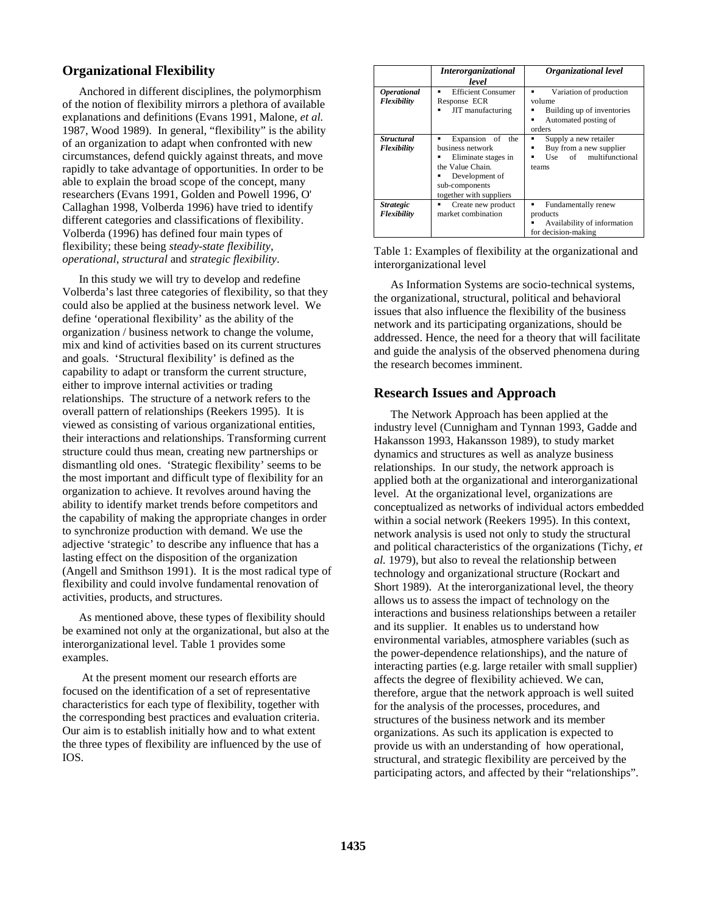### **Organizational Flexibility**

Anchored in different disciplines, the polymorphism of the notion of flexibility mirrors a plethora of available explanations and definitions (Evans 1991, Malone*, et al.* 1987, Wood 1989). In general, "flexibility" is the ability of an organization to adapt when confronted with new circumstances, defend quickly against threats, and move rapidly to take advantage of opportunities. In order to be able to explain the broad scope of the concept, many researchers (Evans 1991, Golden and Powell 1996, O' Callaghan 1998, Volberda 1996) have tried to identify different categories and classifications of flexibility. Volberda (1996) has defined four main types of flexibility; these being *steady-state flexibility*, *operational*, *structural* and *strategic flexibility*.

In this study we will try to develop and redefine Volberda's last three categories of flexibility, so that they could also be applied at the business network level. We define 'operational flexibility' as the ability of the organization / business network to change the volume, mix and kind of activities based on its current structures and goals. 'Structural flexibility' is defined as the capability to adapt or transform the current structure, either to improve internal activities or trading relationships. The structure of a network refers to the overall pattern of relationships (Reekers 1995). It is viewed as consisting of various organizational entities, their interactions and relationships. Transforming current structure could thus mean, creating new partnerships or dismantling old ones. 'Strategic flexibility' seems to be the most important and difficult type of flexibility for an organization to achieve. It revolves around having the ability to identify market trends before competitors and the capability of making the appropriate changes in order to synchronize production with demand. We use the adjective 'strategic' to describe any influence that has a lasting effect on the disposition of the organization (Angell and Smithson 1991). It is the most radical type of flexibility and could involve fundamental renovation of activities, products, and structures.

As mentioned above, these types of flexibility should be examined not only at the organizational, but also at the interorganizational level. Table 1 provides some examples.

 At the present moment our research efforts are focused on the identification of a set of representative characteristics for each type of flexibility, together with the corresponding best practices and evaluation criteria. Our aim is to establish initially how and to what extent the three types of flexibility are influenced by the use of IOS.

|                                          | <b>Interorganizational</b><br>level                                                                                                                 | Organizational level                                                                                        |
|------------------------------------------|-----------------------------------------------------------------------------------------------------------------------------------------------------|-------------------------------------------------------------------------------------------------------------|
| <i><b>Operational</b></i><br>Flexibility | <b>Efficient Consumer</b><br>٠<br>Response ECR<br>JIT manufacturing                                                                                 | Variation of production<br>٠<br>volume<br>Building up of inventories<br>Automated posting of<br>٠<br>orders |
| <b>Structural</b><br>Flexibility         | Expansion of the<br>٠<br>business network<br>Eliminate stages in<br>the Value Chain.<br>Development of<br>sub-components<br>together with suppliers | Supply a new retailer<br>٠<br>Buy from a new supplier<br>Use of multifunctional<br>٠<br>teams               |
| <i><b>Strategic</b></i><br>Flexibility   | Create new product<br>٠<br>market combination                                                                                                       | Fundamentally renew<br>٠<br>products<br>Availability of information<br>for decision-making                  |

Table 1: Examples of flexibility at the organizational and interorganizational level

As Information Systems are socio-technical systems, the organizational, structural, political and behavioral issues that also influence the flexibility of the business network and its participating organizations, should be addressed. Hence, the need for a theory that will facilitate and guide the analysis of the observed phenomena during the research becomes imminent.

#### **Research Issues and Approach**

The Network Approach has been applied at the industry level (Cunnigham and Tynnan 1993, Gadde and Hakansson 1993, Hakansson 1989), to study market dynamics and structures as well as analyze business relationships. In our study, the network approach is applied both at the organizational and interorganizational level. At the organizational level, organizations are conceptualized as networks of individual actors embedded within a social network (Reekers 1995). In this context, network analysis is used not only to study the structural and political characteristics of the organizations (Tichy*, et al.* 1979), but also to reveal the relationship between technology and organizational structure (Rockart and Short 1989). At the interorganizational level, the theory allows us to assess the impact of technology on the interactions and business relationships between a retailer and its supplier. It enables us to understand how environmental variables, atmosphere variables (such as the power-dependence relationships), and the nature of interacting parties (e.g. large retailer with small supplier) affects the degree of flexibility achieved. We can, therefore, argue that the network approach is well suited for the analysis of the processes, procedures, and structures of the business network and its member organizations. As such its application is expected to provide us with an understanding of how operational, structural, and strategic flexibility are perceived by the participating actors, and affected by their "relationships".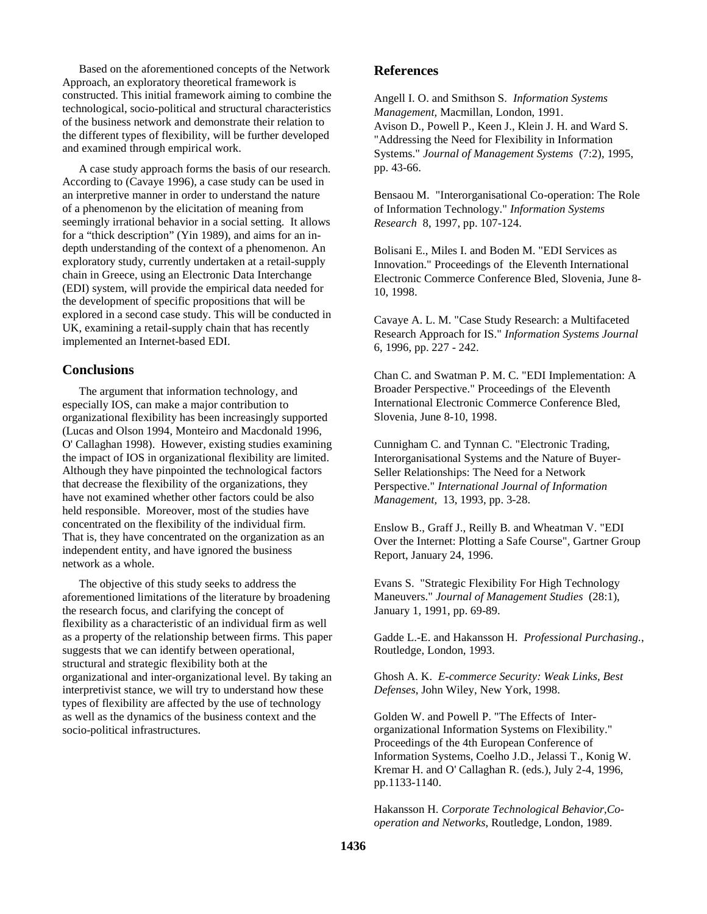Based on the aforementioned concepts of the Network Approach, an exploratory theoretical framework is constructed. This initial framework aiming to combine the technological, socio-political and structural characteristics of the business network and demonstrate their relation to the different types of flexibility, will be further developed and examined through empirical work.

A case study approach forms the basis of our research. According to (Cavaye 1996), a case study can be used in an interpretive manner in order to understand the nature of a phenomenon by the elicitation of meaning from seemingly irrational behavior in a social setting. It allows for a "thick description" (Yin 1989), and aims for an indepth understanding of the context of a phenomenon. An exploratory study, currently undertaken at a retail-supply chain in Greece, using an Electronic Data Interchange (EDI) system, will provide the empirical data needed for the development of specific propositions that will be explored in a second case study. This will be conducted in UK, examining a retail-supply chain that has recently implemented an Internet-based EDI.

#### **Conclusions**

The argument that information technology, and especially IOS, can make a major contribution to organizational flexibility has been increasingly supported (Lucas and Olson 1994, Monteiro and Macdonald 1996, O' Callaghan 1998). However, existing studies examining the impact of IOS in organizational flexibility are limited. Although they have pinpointed the technological factors that decrease the flexibility of the organizations, they have not examined whether other factors could be also held responsible. Moreover, most of the studies have concentrated on the flexibility of the individual firm. That is, they have concentrated on the organization as an independent entity, and have ignored the business network as a whole.

The objective of this study seeks to address the aforementioned limitations of the literature by broadening the research focus, and clarifying the concept of flexibility as a characteristic of an individual firm as well as a property of the relationship between firms. This paper suggests that we can identify between operational, structural and strategic flexibility both at the organizational and inter-organizational level. By taking an interpretivist stance, we will try to understand how these types of flexibility are affected by the use of technology as well as the dynamics of the business context and the socio-political infrastructures.

#### **References**

Angell I. O. and Smithson S. *Information Systems Management,* Macmillan, London, 1991. Avison D., Powell P., Keen J., Klein J. H. and Ward S. "Addressing the Need for Flexibility in Information Systems." *Journal of Management Systems* (7:2), 1995, pp. 43-66.

Bensaou M. "Interorganisational Co-operation: The Role of Information Technology." *Information Systems Research* 8, 1997, pp. 107-124.

Bolisani E., Miles I. and Boden M. "EDI Services as Innovation." Proceedings of the Eleventh International Electronic Commerce Conference Bled, Slovenia, June 8- 10, 1998.

Cavaye A. L. M. "Case Study Research: a Multifaceted Research Approach for IS." *Information Systems Journal*  6, 1996, pp. 227 - 242.

Chan C. and Swatman P. M. C. "EDI Implementation: A Broader Perspective." Proceedings of the Eleventh International Electronic Commerce Conference Bled, Slovenia, June 8-10, 1998.

Cunnigham C. and Tynnan C. "Electronic Trading, Interorganisational Systems and the Nature of Buyer-Seller Relationships: The Need for a Network Perspective." *International Journal of Information Management,* 13, 1993, pp. 3-28.

Enslow B., Graff J., Reilly B. and Wheatman V. "EDI Over the Internet: Plotting a Safe Course", Gartner Group Report, January 24, 1996.

Evans S. "Strategic Flexibility For High Technology Maneuvers." *Journal of Management Studies* (28:1), January 1, 1991, pp. 69-89.

Gadde L.-E. and Hakansson H. *Professional Purchasing.*, Routledge, London, 1993.

Ghosh A. K. *E-commerce Security: Weak Links, Best Defenses*, John Wiley, New York, 1998.

Golden W. and Powell P. "The Effects of Interorganizational Information Systems on Flexibility." Proceedings of the 4th European Conference of Information Systems, Coelho J.D., Jelassi T., Konig W. Kremar H. and O' Callaghan R. (eds.), July 2-4, 1996, pp.1133-1140.

Hakansson H. *Corporate Technological Behavior,Cooperation and Networks*, Routledge, London, 1989.